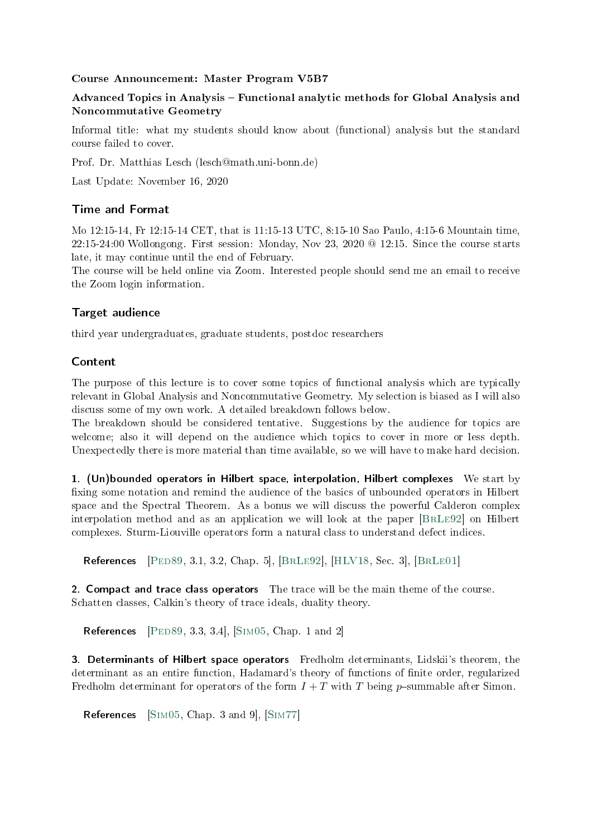#### Course Announcement: Master Program V5B7

# Advanced Topics in Analysis – Functional analytic methods for Global Analysis and Noncommutative Geometry

Informal title: what my students should know about (functional) analysis but the standard course failed to cover.

Prof. Dr. Matthias Lesch (lesch@math.uni-bonn.de)

Last Update: November 16, 2020

### Time and Format

Mo 12:15-14, Fr 12:15-14 CET, that is 11:15-13 UTC, 8:15-10 Sao Paulo, 4:15-6 Mountain time, 22:15-24:00 Wollongong. First session: Monday, Nov 23, 2020 @ 12:15. Since the course starts late, it may continue until the end of February.

The course will be held online via Zoom. Interested people should send me an email to receive the Zoom login information.

# Target audience

third year undergraduates, graduate students, postdoc researchers

### Content

The purpose of this lecture is to cover some topics of functional analysis which are typically relevant in Global Analysis and Noncommutative Geometry. My selection is biased as I will also discuss some of my own work. A detailed breakdown follows below.

The breakdown should be considered tentative. Suggestions by the audience for topics are welcome; also it will depend on the audience which topics to cover in more or less depth. Unexpectedly there is more material than time available, so we will have to make hard decision.

1. (Un)bounded operators in Hilbert space, interpolation, Hilbert complexes We start by fixing some notation and remind the audience of the basics of unbounded operators in Hilbert space and the Spectral Theorem. As a bonus we will discuss the powerful Calderon complex interpolation method and as an application we will look at the paper [\[BrLe92\]](#page-1-0) on Hilbert complexes. Sturm-Liouville operators form a natural class to understand defect indices.

**References**  $[PED89, 3.1, 3.2, Chap. 5], [BRLE92], [HLV18, Sec. 3], [BRLE01]$  $[PED89, 3.1, 3.2, Chap. 5], [BRLE92], [HLV18, Sec. 3], [BRLE01]$  $[PED89, 3.1, 3.2, Chap. 5], [BRLE92], [HLV18, Sec. 3], [BRLE01]$ 

2. Compact and trace class operators The trace will be the main theme of the course. Schatten classes, Calkin's theory of trace ideals, duality theory.

**References** [PED89, 3.3, 3.4], [SIM05, Chap. 1 and 2]

3. Determinants of Hilbert space operators Fredholm determinants, Lidskii's theorem, the determinant as an entire function, Hadamard's theory of functions of finite order, regularized Fredholm determinant for operators of the form  $I + T$  with T being p-summable after Simon.

References [\[Sim05,](#page-2-1) Chap. 3 and 9], [\[Sim77\]](#page-2-2)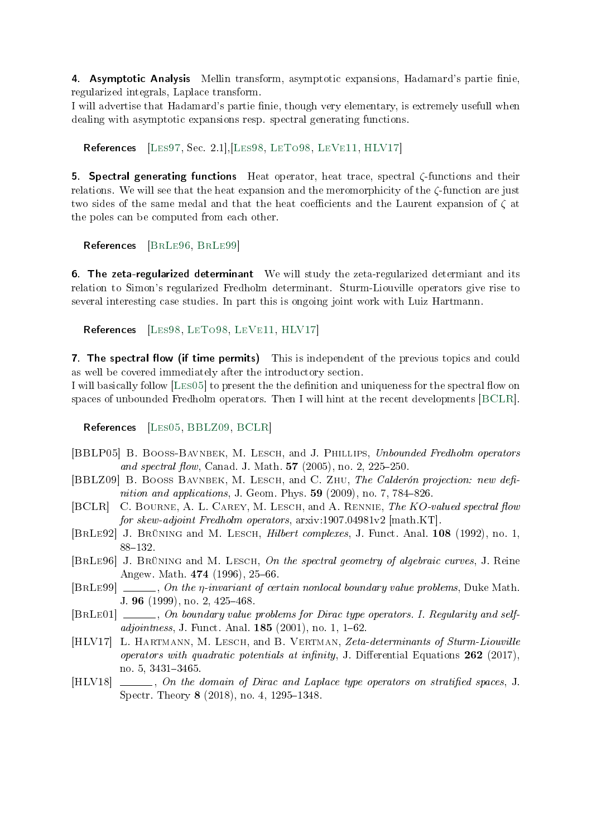4. Asymptotic Analysis Mellin transform, asymptotic expansions, Hadamard's partie finie, regularized integrals, Laplace transform.

I will advertise that Hadamard's partie finie, though very elementary, is extremely usefull when dealing with asymptotic expansions resp. spectral generating functions.

References [\[Les97,](#page-2-3) Sec. 2.1],[\[Les98,](#page-2-4) [LeTo98,](#page-2-5) [LeVe11,](#page-2-6) [HLV17\]](#page-1-3)

5. Spectral generating functions Heat operator, heat trace, spectral  $\zeta$ -functions and their relations. We will see that the heat expansion and the meromorphicity of the  $\zeta$ -function are just two sides of the same medal and that the heat coefficients and the Laurent expansion of  $\zeta$  at the poles can be computed from each other.

References [\[BrLe96,](#page-1-4) [BrLe99\]](#page-1-5)

6. The zeta-regularized determinant We will study the zeta-regularized determiant and its relation to Simon's regularized Fredholm determinant. Sturm-Liouville operators give rise to several interesting case studies. In part this is ongoing joint work with Luiz Hartmann.

References [\[Les98,](#page-2-4) [LeTo98,](#page-2-5) [LeVe11,](#page-2-6) [HLV17\]](#page-1-3)

7. The spectral flow (if time permits) This is independent of the previous topics and could as well be covered immediately after the introductory section.

I will basically follow [LES05] to present the the definition and uniqueness for the spectral flow on spaces of unbounded Fredholm operators. Then I will hint at the recent developments [\[BCLR\]](#page-1-6).

References [LES05, [BBLZ09,](#page-1-7) [BCLR\]](#page-1-6)

- [BBLP05] B. Booss-Bavnbek, M. Lesch, and J. Phillips, Unbounded Fredholm operators and spectral flow, Canad. J. Math.  $57$  (2005), no. 2, 225-250.
- <span id="page-1-7"></span>[BBLZ09] B. BOOSS BAVNBEK, M. LESCH, and C. ZHU, The Calderón projection: new definition and applications, J. Geom. Phys.  $59$  (2009), no. 7, 784-826.
- <span id="page-1-6"></span>[BCLR] C. BOURNE, A. L. CAREY, M. LESCH, and A. RENNIE, The KO-valued spectral flow for skew-adjoint Fredholm operators, arxiv:1907.04981v2 [math.KT].
- <span id="page-1-0"></span>[BRLE92] J. BRÜNING and M. LESCH, *Hilbert complexes*, J. Funct. Anal. 108 (1992), no. 1, 88-132.
- <span id="page-1-4"></span>[BrLe96] J. Brüning and M. Lesch, On the spectral geometry of algebraic curves, J. Reine Angew. Math.  $474$  (1996), 25-66.
- <span id="page-1-5"></span>[BRLE99]  $\ldots$ , On the *n*-invariant of certain nonlocal boundary value problems, Duke Math. J. 96 (1999), no. 2, 425-468.
- <span id="page-1-2"></span>[BRLE01]  $\ldots$ , On boundary value problems for Dirac type operators. I. Regularity and self $adjointness, J. Funct. Anal. 185 (2001), no. 1, 1–62.$
- <span id="page-1-3"></span>[HLV17] L. HARTMANN, M. LESCH, and B. VERTMAN, Zeta-determinants of Sturm-Liouville operators with quadratic potentials at infinity, J. Differential Equations  $262$  (2017), no. 5, 3431-3465.
- <span id="page-1-1"></span>[HLV18]  $\Box$ , On the domain of Dirac and Laplace type operators on stratified spaces, J. Spectr. Theory  $8$  (2018), no. 4, 1295–1348.